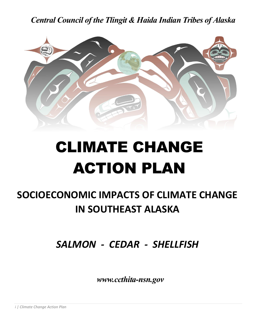*Central Council of the Tlingit & Haida Indian Tribes of Alaska*



# CLIMATE CHANGE ACTION PLAN

## **SOCIOECONOMIC IMPACTS OF CLIMATE CHANGE IN SOUTHEAST ALASKA**

*SALMON - CEDAR - SHELLFISH*

 *www.ccthita-nsn.gov*

*i | Climate Change Action Plan*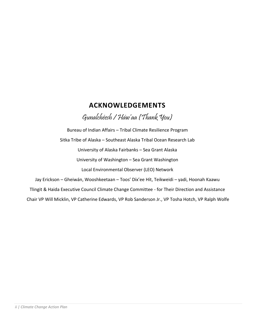### **ACKNOWLEDGEMENTS**

Gunalchéesh / Háw'aa (Thank You)

Bureau of Indian Affairs – Tribal Climate Resilience Program Sitka Tribe of Alaska – Southeast Alaska Tribal Ocean Research Lab University of Alaska Fairbanks – Sea Grant Alaska University of Washington – Sea Grant Washington Local Environmental Observer (LEO) Network

Jay Erickson – Gheiwán, Wooshkeetaan – Toos' Díx'ee Hít, Teikweidi – yadi, Hoonah Kaawu Tlingit & Haida Executive Council Climate Change Committee - for Their Direction and Assistance Chair VP Will Micklin, VP Catherine Edwards, VP Rob Sanderson Jr., VP Tosha Hotch, VP Ralph Wolfe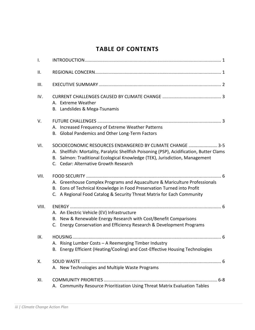## **TABLE OF CONTENTS**

| $\mathsf{I}$ . |                                                                                                                                                                                                                                                                                |
|----------------|--------------------------------------------------------------------------------------------------------------------------------------------------------------------------------------------------------------------------------------------------------------------------------|
| ΙΙ.            |                                                                                                                                                                                                                                                                                |
| III.           |                                                                                                                                                                                                                                                                                |
| IV.            | A. Extreme Weather<br>B. Landslides & Mega-Tsunamis                                                                                                                                                                                                                            |
| V.             | A. Increased Frequency of Extreme Weather Patterns<br>B. Global Pandemics and Other Long-Term Factors                                                                                                                                                                          |
| VI.            | SOCIOECONOMIC RESOURCES ENDANGERED BY CLIMATE CHANGE  3-5<br>A. Shellfish: Mortality, Paralytic Shellfish Poisoning (PSP), Acidification, Butter Clams<br>B. Salmon: Traditional Ecological Knowledge (TEK), Jurisdiction, Management<br>C. Cedar: Alternative Growth Research |
| VII.           | A. Greenhouse Complex Programs and Aquaculture & Mariculture Professionals<br>B. Eons of Technical Knowledge in Food Preservation Turned into Profit<br>C. A Regional Food Catalog & Security Threat Matrix for Each Community                                                 |
| VIII.          |                                                                                                                                                                                                                                                                                |
|                | A. An Electric Vehicle (EV) Infrastructure<br>B. New & Renewable Energy Research with Cost/Benefit Comparisons<br>C. Energy Conservation and Efficiency Research & Development Programs                                                                                        |
| IX.            | A. Rising Lumber Costs - A Reemerging Timber Industry<br>Energy Efficient (Heating/Cooling) and Cost-Effective Housing Technologies<br>В.                                                                                                                                      |
| Х.             | A. New Technologies and Multiple Waste Programs                                                                                                                                                                                                                                |
| XI.            |                                                                                                                                                                                                                                                                                |
|                | A. Community Resource Prioritization Using Threat Matrix Evaluation Tables                                                                                                                                                                                                     |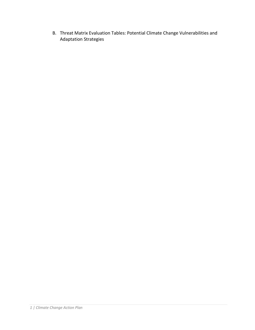B. Threat Matrix Evaluation Tables: Potential Climate Change Vulnerabilities and Adaptation Strategies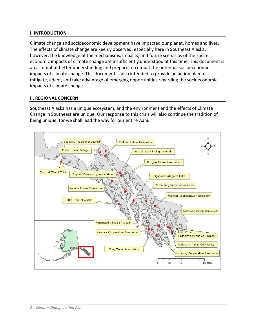#### **I. INTRODUCTION**

Climate change and socioeconomic development have impacted our planet, homes and lives. The effects of climate change are keenly observed, especially here in Southeast Alaska; however, the knowledge of the mechanisms, impacts, and future scenarios of the socioeconomic impacts of climate change are insufficiently understood at this time. This document is an attempt at better understanding and prepare to combat the potential socioeconomic impacts of climate change. This document is also intended to provide an action plan to mitigate, adapt, and take advantage of emerging opportunities regarding the socioeconomic impacts of climate change.

#### **II. REGIONAL CONCERN**

Southeast Alaska has a unique ecosystem, and the environment and the effects of Climate Change in Southeast are unique. Our response to this crisis will also continue the tradition of being unique, for we shall lead the way for our entire Aaní.

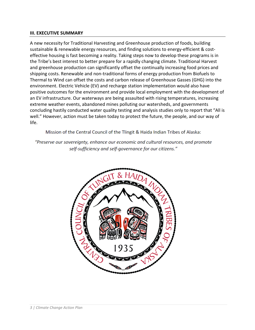#### **III. EXECUTIVE SUMMARY**

A new necessity for Traditional Harvesting and Greenhouse production of foods, building sustainable & renewable energy resources, and finding solutions to energy-efficient & costeffective housing is fast becoming a reality. Taking steps now to develop these programs is in the Tribe's best interest to better prepare for a rapidly changing climate. Traditional Harvest and greenhouse production can significantly offset the continually increasing food prices and shipping costs. Renewable and non-traditional forms of energy production from Biofuels to Thermal to Wind can offset the costs and carbon release of Greenhouse Gasses (GHG) into the environment. Electric Vehicle (EV) and recharge station implementation would also have positive outcomes for the environment and provide local employment with the development of an EV infrastructure. Our waterways are being assaulted with rising temperatures, increasing extreme weather events, abandoned mines polluting our watersheds, and governments concluding hastily conducted water quality testing and analysis studies only to report that "All is well." However, action must be taken today to protect the future, the people, and our way of life.

Mission of the Central Council of the Tlingit & Haida Indian Tribes of Alaska:

"Preserve our sovereignty, enhance our economic and cultural resources, and promote self-sufficiency and self-governance for our citizens."

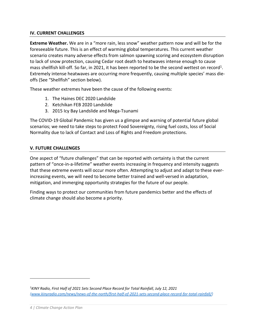#### **IV. CURRENT CHALLENGES**

**Extreme Weather.** We are in a "more rain, less snow" weather pattern now and will be for the foreseeable future. This is an effect of warming global temperatures. This current weather scenario creates many adverse effects from salmon spawning scoring and ecosystem disruption to lack of snow protection, causing Cedar root death to heatwaves intense enough to cause mass shellfish kill-off. So far, in 2021, it has been reported to be the second wettest on record<sup>1</sup>. Extremely intense heatwaves are occurring more frequently, causing multiple species' mass dieoffs (See "Shellfish" section below).

These weather extremes have been the cause of the following events:

- 1. The Haines DEC 2020 Landslide
- 2. Ketchikan FEB 2020 Landslide
- 3. 2015 Icy Bay Landslide and Mega-Tsunami

The COVID-19 Global Pandemic has given us a glimpse and warning of potential future global scenarios; we need to take steps to protect Food Sovereignty, rising fuel costs, loss of Social Normality due to lack of Contact and Loss of Rights and Freedom protections.

#### **V. FUTURE CHALLENGES**

One aspect of "future challenges" that can be reported with certainty is that the current pattern of "once-in-a-lifetime" weather events increasing in frequency and intensity suggests that these extreme events will occur more often. Attempting to adjust and adapt to these everincreasing events, we will need to become better trained and well-versed in adaptation, mitigation, and immerging opportunity strategies for the future of our people.

Finding ways to protect our communities from future pandemics better and the effects of climate change should also become a priority.

*<sup>1</sup>KINY Radio, First Half of 2021 Sets Second Place Record for Total Rainfall, July 12, 2021 [\(www.kinyradio.com/news/news-of-the-north/first-half-of-2021-sets-second-place-record-for-total-rainfall/\)](http://www.kinyradio.com/news/news-of-the-north/first-half-of-2021-sets-second-place-record-for-total-rainfall/)*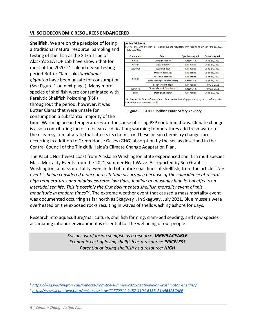#### **VI. SOCIOECONOMIC RESOURCES ENDANGERED**

**Shellfish.** We are on the precipice of losing a traditional natural resource. Sampling and testing of shellfish at the Sitka Tribe of Alaska's SEATOR Lab have shown that for most of the 2020-21 calendar year testing period Butter Clams aka *Saxidomus gigantea* have been unsafe for consumption (See Figure 1 on next page.). Many more species of shellfish were contaminated with Paralytic Shellfish Poisoning (PSP) throughout the period; however, it was Butter Clams that were unsafe for consumption a substantial majority of the

| <b>Community</b> | <b>Beach</b>                   | <b>Species affected</b> | Date Collected |
|------------------|--------------------------------|-------------------------|----------------|
| Juneau           | Amalga Harbor                  | <b>Butter Clam</b>      | June 25, 2021  |
| Kasaan           | Kasaan Harbor                  | <b>All Species</b>      | June 24, 2021  |
| Ketchikan        | Seaport Beach                  | <b>All Species</b>      | June 27, 2021  |
|                  | <b>Mission Beach NE</b>        | <b>All Species</b>      | June 23, 2021  |
|                  | <b>Mission Beach SW</b>        | <b>All Species</b>      | June 23, 2021  |
| Kodiak           | Near Island (N. Trident Basin) | <b>Butter Clam</b>      | June 23, 2021  |
|                  | South Trident Basin            | <b>All Species</b>      | July 11, 2021  |
| Klawock          | City of Klawock Boat Launch    | <b>Butter Clam</b>      | July 12, 2021  |
| Sitka            | Starrigavan North              | <b>All Species</b>      | June 29, 2021  |

Figure 1. SEATOR Shellfish Public Safety Advisory

time. Warming ocean temperatures are the cause of rising PSP contaminations. Climate change is also a contributing factor to ocean acidification; warming temperatures add fresh water to the ocean system at a rate that affects its chemistry. These ocean chemistry changes are occurring in addition to Green House Gases (GHG) absorption by the sea as described in the Central Council of the Tlingit & Haida's Climate Change Adaptation Plan.

The Pacific Northwest coast from Alaska to Washington State experienced shellfish multispecies Mass Mortality Events from the 2021 Summer Heat Wave. As reported by Sea Grant Washington, a mass mortality event killed off entire coastlines of shellfish, from the article "*The event is being considered a once-in-a-lifetime occurrence because of the coincidence of record high temperatures and midday extreme low tides, leading to unusually high lethal effects on intertidal sea life. This is possibly the first documented shellfish mortality event of this*  magnitude in modern times<sup>"2</sup>. The extreme weather event that caused a mass mortality event was documented occurring as far north as Skagway<sup>3</sup>. In Skagway, July 2021, Blue mussels were overheated on the exposed rocks resulting in waves of shells washing ashore for days.

Research into aquaculture/mariculture, shellfish farming, clam-bed seeding, and new species acclimating into our environment is essential for the wellbeing of our people.

> *Social cost of losing shellfish as a resource: IRREPLACEABLE Economic cost of losing shellfish as a resource: PRICELESS Potential of losing shellfish as a resource: HIGH*

*<sup>2</sup> <https://wsg.washington.edu/impacts-from-the-summer-2021-heatwave-on-washington-shellfish/> <sup>3</sup> <https://www.leonetwork.org/en/posts/show/72F79911-94B7-4104-B13B-A1A46525CAFE>*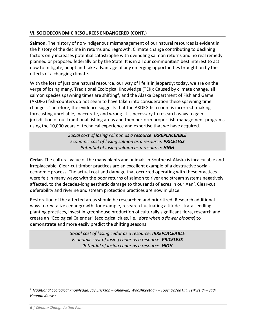#### **VI. SOCIOECONOMIC RESOURCES ENDANGERED (CONT.)**

**Salmon.** The history of non-indigenous mismanagement of our natural resources is evident in the history of the decline in returns and regrowth. Climate change contributing to declining factors only increases potential catastrophe with dwindling salmon returns and no real remedy planned or proposed federally or by the State. It is in all our communities' best interest to act now to mitigate, adapt and take advantage of any emerging opportunities brought on by the effects of a changing climate.

With the loss of just one natural resource, our way of life is in jeopardy; today, we are on the verge of losing many. Traditional Ecological Knowledge (TEK): Caused by climate change, all salmon species spawning times are shifting<sup>4</sup>, and the Alaska Department of Fish and Game (AKDFG) fish-counters do not seem to have taken into consideration these spawning time changes. Therefore, the evidence suggests that the AKDFG fish count is incorrect, making forecasting unreliable, inaccurate, and wrong. It is necessary to research ways to gain jurisdiction of our traditional fishing areas and then perform proper fish-management programs using the 10,000 years of technical experience and expertise that we have acquired.

> *Social cost of losing salmon as a resource: IRREPLACEABLE Economic cost of losing salmon as a resource: PRICELESS Potential of losing salmon as a resource: HIGH*

**Cedar.** The cultural value of the many plants and animals in Southeast Alaska is incalculable and irreplaceable. Clear-cut timber practices are an excellent example of a destructive socialeconomic process. The actual cost and damage that occurred operating with these practices were felt in many ways; with the poor returns of salmon to river and stream systems negatively affected, to the decades-long aesthetic damage to thousands of acres in our Aaní. Clear-cut deferability and riverine and stream protection practices are now in place.

Restoration of the affected areas should be researched and prioritized. Research additional ways to revitalize cedar growth, for example, research fluctuating altitude-strata seedling planting practices, invest in greenhouse production of culturally significant flora, research and create an "Ecological Calendar" (ecological clues, i.e., *date when a flower blooms*) to demonstrate and more easily predict the shifting seasons.

> *Social cost of losing cedar as a resource: IRREPLACEABLE Economic cost of losing cedar as a resource: PRICELESS Potential of losing cedar as a resource: HIGH*

<sup>4</sup> *Traditional Ecological Knowledge: Jay Erickson – Gheiwán, Wooshkeetaan – Toos' Díx'ee Hít, Teikweidi – yadi, Hoonah Kaawu*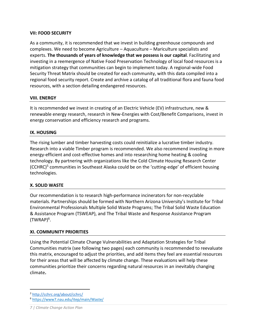#### **VII: FOOD SECURITY**

As a community, it is recommended that we invest in building greenhouse compounds and complexes. We need to become Agriculture – Aquaculture – Mariculture specialists and experts. **The thousands of years of knowledge that we possess is our capital**. Facilitating and investing in a reemergence of Native Food Preservation Technology of local food resources is a mitigation strategy that communities can begin to implement today. A regional-wide Food Security Threat Matrix should be created for each community, with this data compiled into a regional food security report. Create and archive a catalog of all traditional flora and fauna food resources, with a section detailing endangered resources.

#### **VIII. ENERGY**

It is recommended we invest in creating of an Electric Vehicle (EV) infrastructure, new & renewable energy research, research in New-Energies with Cost/Benefit Comparisons, invest in energy conservation and efficiency research and programs.

#### **IX. HOUSING**

The rising lumber and timber harvesting costs could reinitialize a lucrative timber industry. Research into a viable Timber program is recommended. We also recommend investing in more energy-efficient and cost-effective homes and into researching home heating & cooling technology. By partnering with organizations like the Cold Climate Housing Research Center (CCHRC)<sup>5</sup> communities in Southeast Alaska could be on the 'cutting-edge' of efficient housing technologies.

#### **X. SOLID WASTE**

Our recommendation is to research high-performance incinerators for non-recyclable materials. Partnerships should be formed with Northern Arizona University's Institute for Tribal Environmental Professionals Multiple Solid Waste Programs; The Tribal Solid Waste Education & Assistance Program (TSWEAP), and The Tribal Waste and Response Assistance Program  $(TWRAP)^6$ .

#### **XI. COMMUNITY PRIORITIES**

Using the Potential Climate Change Vulnerabilities and Adaptation Strategies for Tribal Communities matrix (see following two pages) each community is recommended to reevaluate this matrix, encouraged to adjust the priorities, and add items they feel are essential resources for their areas that will be affected by climate change. These evaluations will help these communities prioritize their concerns regarding natural resources in an inevitably changing climate**.**

*<sup>5</sup>* <http://cchrc.org/about/cchrc/>

<sup>6</sup> <https://www7.nau.edu/itep/main/Waste/>

*<sup>7</sup> | Climate Change Action Plan*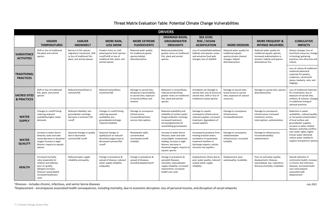## Threat Matrix Evaluation Table: Potential Climate Change Vulnerabilities

| <b>DRIVERS</b>                                |                                                                                                                                                                                            |                                                                                                                     |                                                                                                                                  |                                                                                                                         |                                                                                                                                                                                            |                                                                                                                                                                         |                                                                                                                     |                                                                                                                                             |                                                                                                                                                                                                   |
|-----------------------------------------------|--------------------------------------------------------------------------------------------------------------------------------------------------------------------------------------------|---------------------------------------------------------------------------------------------------------------------|----------------------------------------------------------------------------------------------------------------------------------|-------------------------------------------------------------------------------------------------------------------------|--------------------------------------------------------------------------------------------------------------------------------------------------------------------------------------------|-------------------------------------------------------------------------------------------------------------------------------------------------------------------------|---------------------------------------------------------------------------------------------------------------------|---------------------------------------------------------------------------------------------------------------------------------------------|---------------------------------------------------------------------------------------------------------------------------------------------------------------------------------------------------|
|                                               | <b>HIGHER</b><br><b>TEMPERATURES</b>                                                                                                                                                       | <b>EARLIER</b><br><b>SNOWMELT</b>                                                                                   | <b>MORE RAIN,</b><br><b>LESS SNOW</b>                                                                                            | <b>MORE EXTREME</b><br><b>FLOODEVENTS</b>                                                                               | <b>DRAINAGE BASIN,</b><br><b>GROUNDWATER</b><br><b>DROUGHTS</b>                                                                                                                            | <b>SEA LEVEL</b><br><b>RISE / OCEAN</b><br><b>ACIDIFICATION</b>                                                                                                         | <b>MORE EROSION</b>                                                                                                 | <b>MORE FREQUENT &amp;</b><br><b>INTENSE WILDFIRES</b>                                                                                      | <b>CUMULATIVE</b><br><b>IMPACTS</b>                                                                                                                                                               |
| <b>SUBSISTENCE</b><br><b>ACTIVITIES</b>       | Shift or loss of traditional<br>fish, plant and animal<br>species                                                                                                                          | Barriers to fish species<br>migration/ movement; shift<br>or loss of traditional fish,<br>plant, and animal species | Greater stress on cold-<br>waterspecies from warmer<br>runoff;shift or loss of<br>traditional fish, plant, and<br>animal species | Reduced water quality<br>for traditional aquatic<br>species; habitat<br>disturbance/loss                                | Reduced productivity/<br>greater stress on traditional<br>fish, plant, and animal<br>species                                                                                               | Loss of coastal/tidal wetland<br>habitats and species; ocean<br>and estuarine food web<br>changes; loss of shellfish                                                    | Reduced water quality for<br>traditional aquatic<br>species; stream channel<br>changes; habitat<br>disturbance/loss | Reduced water quality for<br>traditional aquatic species;<br>increased sedimentation in<br>streams; habitat and species<br>disturbance/loss | Dietary changes; loss of<br>local food resources; change<br>in hunting/ gathering<br>practices; loss of income and<br>culture                                                                     |
| <b>TRADITIONAL</b><br><b>PRACTICES</b>        |                                                                                                                                                                                            |                                                                                                                     |                                                                                                                                  |                                                                                                                         |                                                                                                                                                                                            |                                                                                                                                                                         |                                                                                                                     |                                                                                                                                             | Loss of culture & traditional<br>medicinal plantsand<br>materials for jewelry,<br>sculptures, ceremonial<br>pieces, basketry, nets, and<br>lodgings.                                              |
| <b>SACRED SITES</b><br><b>&amp; PRACTICES</b> | Shift or loss of traditional<br>fish, plant, and animal<br>species                                                                                                                         | Reduced streamflows in<br>summer/fall                                                                               | Reduced streamflows<br>insummer/fall                                                                                             | Damage to sacred sites;<br>temporary inaccessibility<br>to sacred sites; exposure<br>of sacred artifacts and<br>remains | Reduction in streamflows;<br>reduced productivity/<br>greater stress on traditional<br>fish, plant, and animal<br>species                                                                  | Inundation of/ damage to<br>sacred sites; loss of access to<br>sacred sites; shift or loss of<br>traditional coastal species                                            | Damage to sacred sites;<br>lossof access to sacred<br>sites; exposure of cultural<br>resources                      | Damage to sacred sites; species<br>disturbance/loss                                                                                         | Loss of traditional materials<br>for ceremonies; loss or<br>exposure of sacred sites,<br>artifacts, & remains; changes<br>in traditional timing of<br>spiritual practices                         |
| <b>WATER</b><br><b>SUPPLY</b>                 | Changes in runoff timing<br>reducing seasonal<br>availability; higher water<br>demands                                                                                                     | Reduced reliability; less<br>groundwater recharge;<br>decrease in summer/ fall<br>runoff                            | Changes in runoff timing<br>reducing seasonal<br>availability; less<br>groundwaterrecharge;<br>reduced reliability               | Damage to conveyance<br>infrastructure;<br>increasedtreatment;<br>service interruptions                                 | Reduced availability and<br>reliability of surface water;<br>lessgroundwater recharge;<br>increased treatment;<br>increasedpotential for<br>overdrafting groundwater                       | Damage to coastal<br>conveyance infrastructure;<br>reduced supplies; increased<br>treatment; degradation of<br>coastal aquifers                                         | Damage to conveyance<br>infrastructure;<br>increasedtreatment                                                       | Damage to conveyance<br>infrastructure; increased<br>treatment; service<br>interruptions; sedimentation                                     | Reduction in water<br>availability; reduced quality<br>or increased contamination<br>of local surface and<br>groundwater supplies;<br>increase in water-related<br>illnesses; potential conflicts |
| <b>WATER</b><br><b>QUALITY</b>                | Increase in water-borne<br>illnesses; taste and odor<br>issues; decrease in dissolved<br>oxygen increase in algal<br>blooms; impacts to aquatic<br>species                                 | Seasonal changes in quality<br>due to decreased<br>summer/fall runoff                                               | Seasonal changes in<br>quality(such as reduced<br>dissolved oxygen) due to<br>decreased summer/fall<br>runoff                    | Wastewater spills;<br>contaminated<br>stormwaterrunoff;<br>turbidity                                                    | Increase in water-borne<br>illnesses; taste and odor<br>issues; higher contaminant<br>loading; increase in algal<br>blooms; decrease in<br>dissolved oxygen; impacts to<br>aquatic species | Increased by-products from<br>treating brackish water;<br>inundation of wastewater<br>treatment facilities or<br>discharge impacts; salinity<br>intrusion into aquifers | Damage to conveyance<br>andwastewater<br>infrastructure; increased<br>turbidity                                     | Damage to infrastructure,<br>increasedturbidity/<br>sedimentation                                                                           | over water rights; higher<br>human water demands<br>reduce water needed to<br>support ecosystems/ species                                                                                         |
| <b>HEALTH</b>                                 | Increased mortality<br>rates (especially for<br>children and elderly);<br>poor air quality;<br>allergens increase;<br>illnesses <sup>1</sup> exacerbated;<br>increased healthcare<br>costs | Reduced water supply<br>reliability and quality                                                                     | Change in prevalence &<br>spread of disease; reduced<br>water supply reliability<br>andquality                                   | Change in prevalence &<br>spread of diseases;<br>mortality; displacement <sup>2</sup>                                   | Change in prevalence &<br>spreadof diseases;<br>mortality; reducedwater<br>supply reliability; increased<br>malnutrition; increased<br>health care costs                                   | Displacement; illness due to<br>poor water quality; reduced<br>coastal water supply<br>reliability                                                                      | Displacement; poor<br>waterquality; mudslides                                                                       | Poor air and water quality;<br>displacement; illnesses<br>exacerbated, esp. respiratory<br>illnesses; mortality; mudslides                  | Overall reduction in<br>community health; increase<br>in chronic and infectious<br>diseases; increased heath<br>care costs; impacts<br>associated with<br>displacement                            |

1 Illnesses - includes chronic, infectious, and vector borne diseases *July 2021*

<sup>2</sup>Displacement - encompasses associated health consequences, including mortality, due to economic disruption, loss of personal income, and disruption of social networks